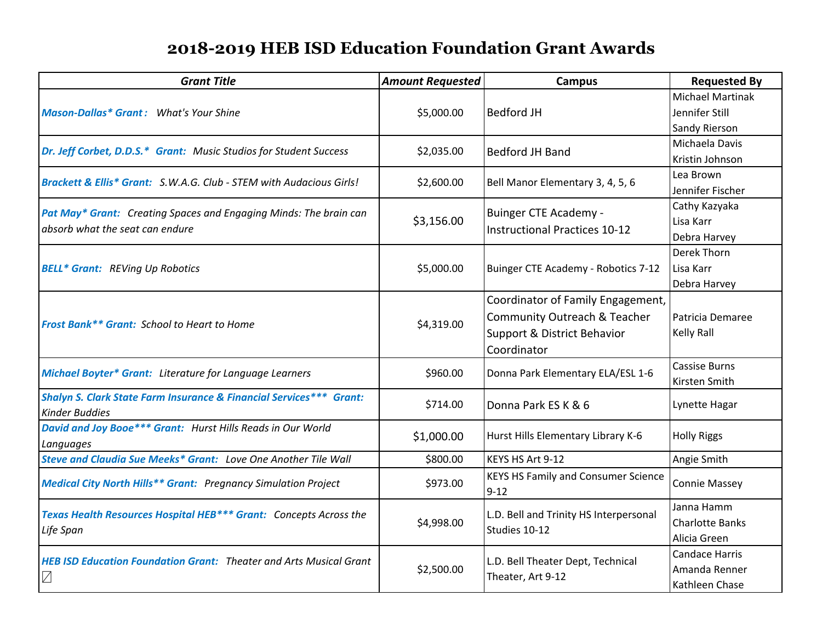## **2018-2019 HEB ISD Education Foundation Grant Awards**

| <b>Grant Title</b>                                                                                   | <b>Amount Requested</b> | <b>Campus</b>                                                                                                              | <b>Requested By</b>                                        |
|------------------------------------------------------------------------------------------------------|-------------------------|----------------------------------------------------------------------------------------------------------------------------|------------------------------------------------------------|
| <b>Mason-Dallas* Grant:</b> What's Your Shine                                                        | \$5,000.00              | <b>Bedford JH</b>                                                                                                          | <b>Michael Martinak</b><br>Jennifer Still<br>Sandy Rierson |
| Dr. Jeff Corbet, D.D.S.* Grant: Music Studios for Student Success                                    | \$2,035.00              | <b>Bedford JH Band</b>                                                                                                     | Michaela Davis<br>Kristin Johnson                          |
| <b>Brackett &amp; Ellis* Grant:</b> S.W.A.G. Club - STEM with Audacious Girls!                       | \$2,600.00              | Bell Manor Elementary 3, 4, 5, 6                                                                                           | Lea Brown<br>Jennifer Fischer                              |
| Pat May* Grant: Creating Spaces and Engaging Minds: The brain can<br>absorb what the seat can endure | \$3,156.00              | <b>Buinger CTE Academy -</b><br><b>Instructional Practices 10-12</b>                                                       | Cathy Kazyaka<br>Lisa Karr<br>Debra Harvey                 |
| <b>BELL* Grant: REVing Up Robotics</b>                                                               | \$5,000.00              | Buinger CTE Academy - Robotics 7-12                                                                                        | Derek Thorn<br>Lisa Karr<br>Debra Harvey                   |
| Frost Bank** Grant: School to Heart to Home                                                          | \$4,319.00              | Coordinator of Family Engagement,<br><b>Community Outreach &amp; Teacher</b><br>Support & District Behavior<br>Coordinator | Patricia Demaree<br>Kelly Rall                             |
| <b>Michael Boyter* Grant:</b> Literature for Language Learners                                       | \$960.00                | Donna Park Elementary ELA/ESL 1-6                                                                                          | <b>Cassise Burns</b><br>Kirsten Smith                      |
| Shalyn S. Clark State Farm Insurance & Financial Services*** Grant:<br><b>Kinder Buddies</b>         | \$714.00                | Donna Park ES K & 6                                                                                                        | Lynette Hagar                                              |
| David and Joy Booe*** Grant: Hurst Hills Reads in Our World<br>Languages                             | \$1,000.00              | Hurst Hills Elementary Library K-6                                                                                         | <b>Holly Riggs</b>                                         |
| Steve and Claudia Sue Meeks* Grant: Love One Another Tile Wall                                       | \$800.00                | KEYS HS Art 9-12                                                                                                           | Angie Smith                                                |
| <b>Medical City North Hills** Grant: Pregnancy Simulation Project</b>                                | \$973.00                | <b>KEYS HS Family and Consumer Science</b><br>$9 - 12$                                                                     | <b>Connie Massey</b>                                       |
| Texas Health Resources Hospital HEB*** Grant: Concepts Across the<br>Life Span                       | \$4,998.00              | L.D. Bell and Trinity HS Interpersonal<br>Studies 10-12                                                                    | Janna Hamm<br><b>Charlotte Banks</b><br>Alicia Green       |
| <b>HEB ISD Education Foundation Grant: Theater and Arts Musical Grant</b><br>$\sqrt{}$               | \$2,500.00              | L.D. Bell Theater Dept, Technical<br>Theater, Art 9-12                                                                     | <b>Candace Harris</b><br>Amanda Renner<br>Kathleen Chase   |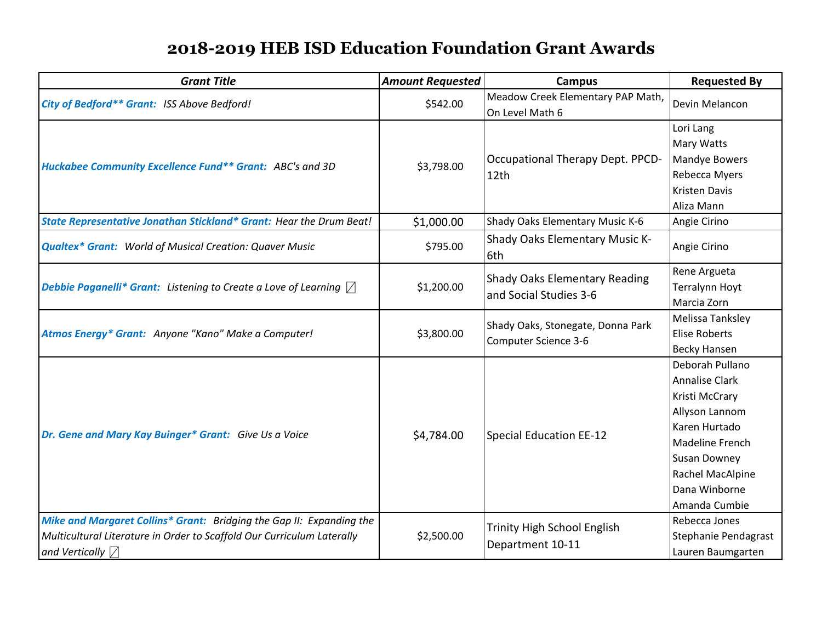## **2018-2019 HEB ISD Education Foundation Grant Awards**

| <b>Grant Title</b>                                                                                                                                                        | <b>Amount Requested</b> | <b>Campus</b>                                                    | <b>Requested By</b>                                                                                                                                                                           |
|---------------------------------------------------------------------------------------------------------------------------------------------------------------------------|-------------------------|------------------------------------------------------------------|-----------------------------------------------------------------------------------------------------------------------------------------------------------------------------------------------|
| City of Bedford** Grant: ISS Above Bedford!                                                                                                                               | \$542.00                | Meadow Creek Elementary PAP Math,<br>On Level Math 6             | Devin Melancon                                                                                                                                                                                |
| Huckabee Community Excellence Fund** Grant: ABC's and 3D                                                                                                                  | \$3,798.00              | Occupational Therapy Dept. PPCD-<br>12th                         | Lori Lang<br><b>Mary Watts</b><br>Mandye Bowers<br>Rebecca Myers<br><b>Kristen Davis</b><br>Aliza Mann                                                                                        |
| State Representative Jonathan Stickland* Grant: Hear the Drum Beat!                                                                                                       | \$1,000.00              | Shady Oaks Elementary Music K-6                                  | Angie Cirino                                                                                                                                                                                  |
| <b>Qualtex* Grant:</b> World of Musical Creation: Quaver Music                                                                                                            | \$795.00                | Shady Oaks Elementary Music K-<br>6th                            | Angie Cirino                                                                                                                                                                                  |
| <b>Debbie Paganelli* Grant:</b> Listening to Create a Love of Learning $\Box$                                                                                             | \$1,200.00              | <b>Shady Oaks Elementary Reading</b><br>and Social Studies 3-6   | Rene Argueta<br><b>Terralynn Hoyt</b><br>Marcia Zorn                                                                                                                                          |
| Atmos Energy* Grant: Anyone "Kano" Make a Computer!                                                                                                                       | \$3,800.00              | Shady Oaks, Stonegate, Donna Park<br><b>Computer Science 3-6</b> | Melissa Tanksley<br><b>Elise Roberts</b><br><b>Becky Hansen</b>                                                                                                                               |
| Dr. Gene and Mary Kay Buinger* Grant: Give Us a Voice                                                                                                                     | \$4,784.00              | <b>Special Education EE-12</b>                                   | Deborah Pullano<br><b>Annalise Clark</b><br>Kristi McCrary<br>Allyson Lannom<br>Karen Hurtado<br>Madeline French<br><b>Susan Downey</b><br>Rachel MacAlpine<br>Dana Winborne<br>Amanda Cumbie |
| Mike and Margaret Collins* Grant: Bridging the Gap II: Expanding the<br>Multicultural Literature in Order to Scaffold Our Curriculum Laterally<br>and Vertically $\nabla$ | \$2,500.00              | <b>Trinity High School English</b><br>Department 10-11           | Rebecca Jones<br>Stephanie Pendagrast<br>Lauren Baumgarten                                                                                                                                    |